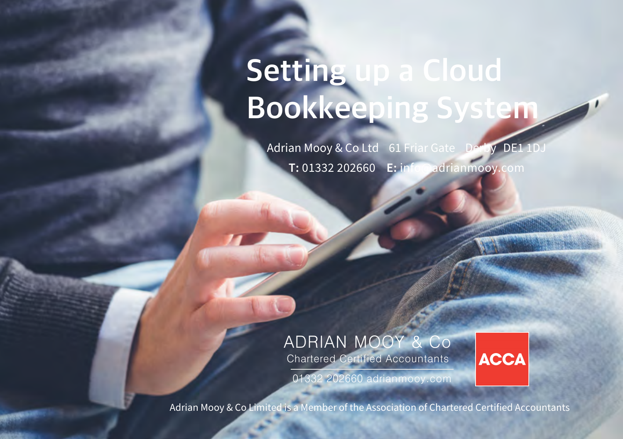# **Setting up a Cloud Bookkeeping System**

Adrian Mooy & Co Ltd 61 Friar Gate Derby DE1 **T:** 01332 202660 **E:** info@adrianmooy.com

## ADRIAN MOOY & Co

Chartered Certified Accountants

**ACCA** 

01332 202660 adrianmooy.com

Adrian Mooy & Co Limited is a Member of the Association of Chartered Certified Accountants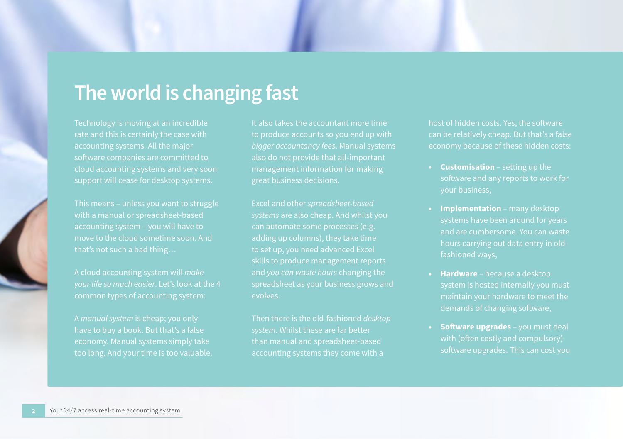## **The world is changing fast**

Technology is moving at an incredible software companies are committed to cloud accounting systems and very soon support will cease for desktop systems.

This means – unless you want to struggle

A cloud accounting system will *make* 

It also takes the accountant more time to produce accounts so you end up with also do not provide that all-important

adding up columns), they take time to set up, you need advanced Excel skills to produce management reports and *you can waste hours* changing the spreadsheet as your business grows and

Then there is the old-fashioned *desktop*  than manual and spreadsheet-based

host of hidden costs. Yes, the software

- **• Customisation** setting up the
- **• Implementation** many desktop and are cumbersome. You can waste fashioned ways,
- **• Hardware** because a desktop demands of changing software,
- **• Software upgrades** you must deal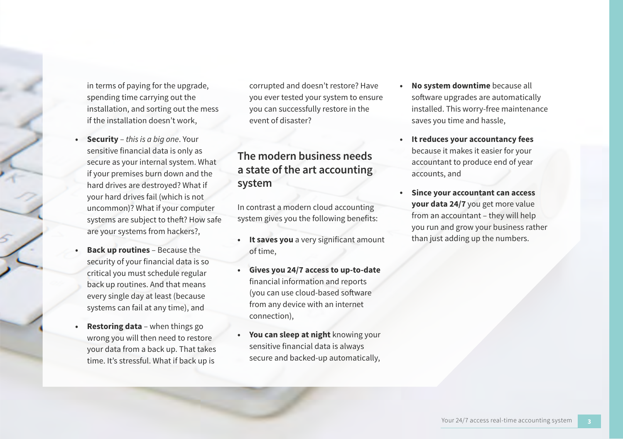in terms of paying for the upgrade, spending time carrying out the installation, and sorting out the mess if the installation doesn't work,

- **• Security** *this is a big one*. Your sensitive financial data is only as secure as your internal system. What if your premises burn down and the hard drives are destroyed? What if your hard drives fail (which is not uncommon)? What if your computer systems are subject to theft? How safe are your systems from hackers?,
- **• Back up routines** Because the security of your financial data is so critical you must schedule regular back up routines. And that means every single day at least (because systems can fail at any time), and
- **• Restoring data** when things go wrong you will then need to restore your data from a back up. That takes time. It's stressful. What if back up is

corrupted and doesn't restore? Have you ever tested your system to ensure you can successfully restore in the event of disaster?

### **The modern business needs a state of the art accounting system**

In contrast a modern cloud accounting system gives you the following benefits:

- **• It saves you** a very significant amount of time,
- **• Gives you 24/7 access to up-to-date** financial information and reports (you can use cloud-based software from any device with an internet connection),
- **• You can sleep at night** knowing your sensitive financial data is always secure and backed-up automatically,
- **• No system downtime** because all software upgrades are automatically installed. This worry-free maintenance saves you time and hassle,
- **• It reduces your accountancy fees** because it makes it easier for your accountant to produce end of year accounts, and
- **• Since your accountant can access your data 24/7** you get more value from an accountant – they will help you run and grow your business rather than just adding up the numbers.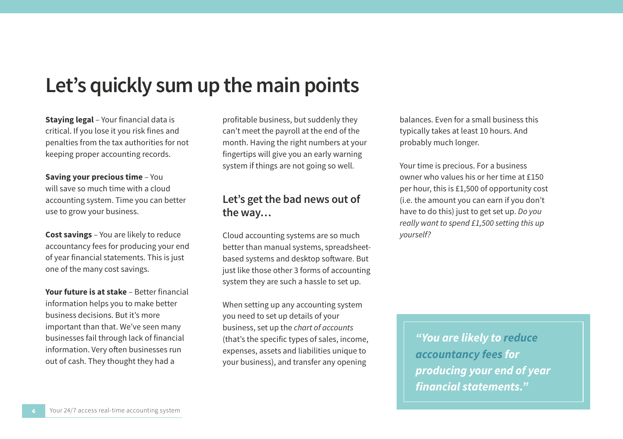## **Let's quickly sum up the main points**

**Staying legal** – Your financial data is critical. If you lose it you risk fines and penalties from the tax authorities for not keeping proper accounting records.

**Saving your precious time** – You will save so much time with a cloud accounting system. Time you can better use to grow your business.

**Cost savings** – You are likely to reduce accountancy fees for producing your end of year financial statements. This is just one of the many cost savings.

**Your future is at stake** – Better financial information helps you to make better business decisions. But it's more important than that. We've seen many businesses fail through lack of financial information. Very often businesses run out of cash. They thought they had a

profitable business, but suddenly they can't meet the payroll at the end of the month. Having the right numbers at your fingertips will give you an early warning system if things are not going so well.

### **Let's get the bad news out of the way…**

Cloud accounting systems are so much better than manual systems, spreadsheetbased systems and desktop software. But just like those other 3 forms of accounting system they are such a hassle to set up.

When setting up any accounting system you need to set up details of your business, set up the *chart of accounts* (that's the specific types of sales, income, expenses, assets and liabilities unique to your business), and transfer any opening

balances. Even for a small business this typically takes at least 10 hours. And probably much longer.

Your time is precious. For a business owner who values his or her time at £150 per hour, this is £1,500 of opportunity cost (i.e. the amount you can earn if you don't have to do this) just to get set up. *Do you really want to spend £1,500 setting this up yourself?*

> *"You are likely to reduce accountancy fees for producing your end of year financial statements."*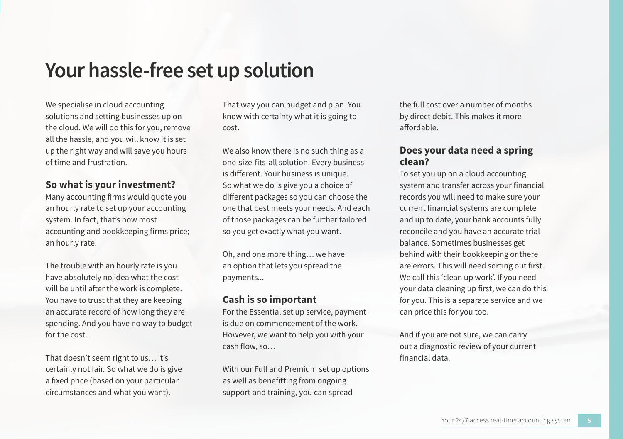## **Your hassle-free set up solution**

We specialise in cloud accounting solutions and setting businesses up on the cloud. We will do this for you, remove all the hassle, and you will know it is set up the right way and will save you hours of time and frustration.

### **So what is your investment?**

Many accounting firms would quote you an hourly rate to set up your accounting system. In fact, that's how most accounting and bookkeeping firms price; an hourly rate.

The trouble with an hourly rate is you have absolutely no idea what the cost will be until after the work is complete. You have to trust that they are keeping an accurate record of how long they are spending. And you have no way to budget for the cost.

That doesn't seem right to us… it's certainly not fair. So what we do is give a fixed price (based on your particular circumstances and what you want).

That way you can budget and plan. You know with certainty what it is going to cost.

We also know there is no such thing as a one-size-fits-all solution. Every business is different. Your business is unique. So what we do is give you a choice of different packages so you can choose the one that best meets your needs. And each of those packages can be further tailored so you get exactly what you want.

Oh, and one more thing… we have an option that lets you spread the payments...

### **Cash is so important**

For the Essential set up service, payment is due on commencement of the work. However, we want to help you with your cash flow, so…

With our Full and Premium set up options as well as benefitting from ongoing support and training, you can spread

the full cost over a number of months by direct debit. This makes it more affordable.

### **Does your data need a spring clean?**

To set you up on a cloud accounting system and transfer across your financial records you will need to make sure your current financial systems are complete and up to date, your bank accounts fully reconcile and you have an accurate trial balance. Sometimes businesses get behind with their bookkeeping or there are errors. This will need sorting out first. We call this 'clean up work'. If you need your data cleaning up first, we can do this for you. This is a separate service and we can price this for you too.

And if you are not sure, we can carry out a diagnostic review of your current financial data.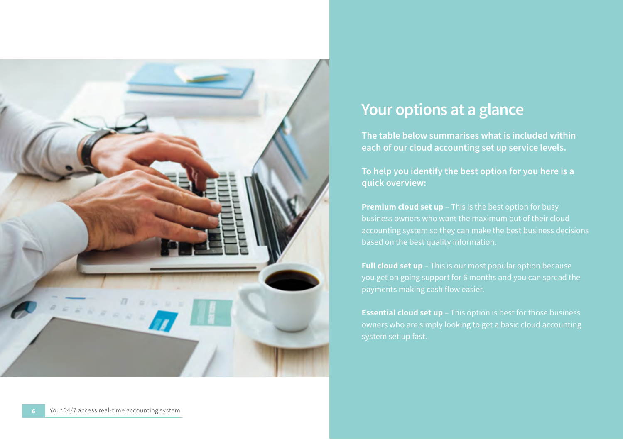## **Your options at a glance**

**The table below summarises what is included within each of our cloud accounting set up service levels.** 

**To help you identify the best option for you here is a quick overview:**

**Premium cloud set up** – This is the best option for busy based on the best quality information.

**Full cloud set up** – This is our most popular option because you get on going support for 6 months and you can spread the payments making cash flow easier.

**Essential cloud set up** – This option is best for those business owners who are simply looking to get a basic cloud accounting system set up fast.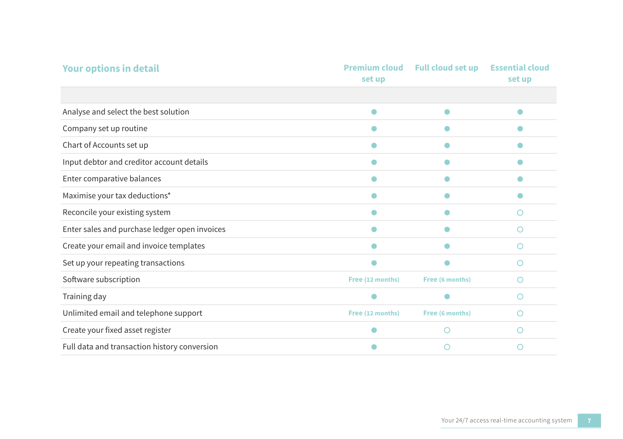| <b>Your options in detail</b>                 | <b>Premium cloud</b><br>set up | <b>Full cloud set up</b> | <b>Essential cloud</b><br>set up |
|-----------------------------------------------|--------------------------------|--------------------------|----------------------------------|
|                                               |                                |                          |                                  |
| Analyse and select the best solution          |                                |                          |                                  |
| Company set up routine                        |                                |                          |                                  |
| Chart of Accounts set up                      |                                |                          |                                  |
| Input debtor and creditor account details     |                                |                          |                                  |
| Enter comparative balances                    |                                |                          |                                  |
| Maximise your tax deductions*                 |                                |                          |                                  |
| Reconcile your existing system                |                                |                          | ∩                                |
| Enter sales and purchase ledger open invoices |                                |                          | ∩                                |
| Create your email and invoice templates       |                                |                          | ∩                                |
| Set up your repeating transactions            |                                |                          | ∩                                |
| Software subscription                         | Free (12 months)               | Free (6 months)          | Ο                                |
| Training day                                  |                                |                          | Ω                                |
| Unlimited email and telephone support         | Free (12 months)               | Free (6 months)          | ∩                                |
| Create your fixed asset register              |                                | ∩                        | ∩                                |
| Full data and transaction history conversion  |                                | ∩                        |                                  |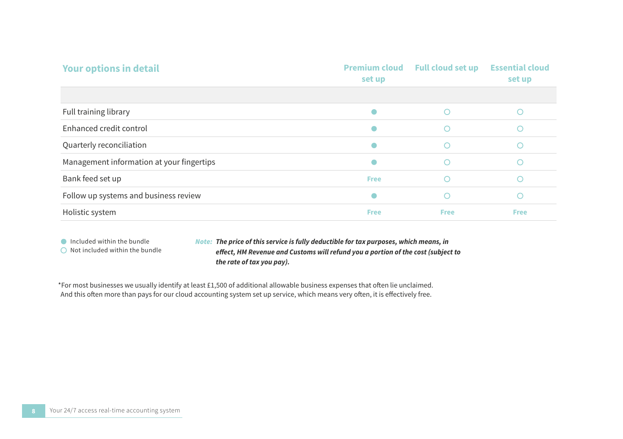| <b>Your options in detail</b>             | <b>Premium cloud</b><br>set up | <b>Full cloud set up</b> | <b>Essential cloud</b><br>set up |
|-------------------------------------------|--------------------------------|--------------------------|----------------------------------|
|                                           |                                |                          |                                  |
| Full training library                     |                                |                          |                                  |
| Enhanced credit control                   |                                |                          |                                  |
| Quarterly reconciliation                  |                                |                          |                                  |
| Management information at your fingertips |                                |                          |                                  |
| Bank feed set up                          | <b>Free</b>                    |                          |                                  |
| Follow up systems and business review     |                                |                          |                                  |
| Holistic system                           | <b>Free</b>                    | <b>Free</b>              | <b>Free</b>                      |

Included within the bundle

 $\bigcirc$  Not included within the bundle

*The price of this service is fully deductible for tax purposes, which means, in Note: effect, HM Revenue and Customs will refund you a portion of the cost (subject to the rate of tax you pay).*

\*For most businesses we usually identify at least £1,500 of additional allowable business expenses that often lie unclaimed. And this often more than pays for our cloud accounting system set up service, which means very often, it is effectively free.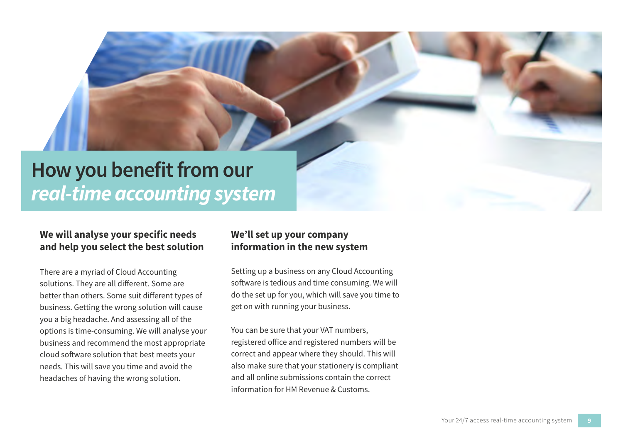## **How you benefit from our**  *real-time accounting system*

### **We will analyse your specific needs and help you select the best solution**

There are a myriad of Cloud Accounting solutions. They are all different. Some are better than others. Some suit different types of business. Getting the wrong solution will cause you a big headache. And assessing all of the options is time-consuming. We will analyse your business and recommend the most appropriate cloud software solution that best meets your needs. This will save you time and avoid the headaches of having the wrong solution.

### **We'll set up your company information in the new system**

Setting up a business on any Cloud Accounting software is tedious and time consuming. We will do the set up for you, which will save you time to get on with running your business.

You can be sure that your VAT numbers, registered office and registered numbers will be correct and appear where they should. This will also make sure that your stationery is compliant and all online submissions contain the correct information for HM Revenue & Customs.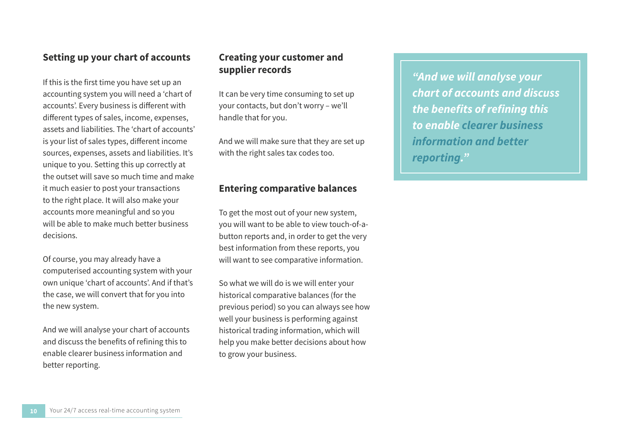### **Setting up your chart of accounts**

If this is the first time you have set up an accounting system you will need a 'chart of accounts'. Every business is different with different types of sales, income, expenses, assets and liabilities. The 'chart of accounts' is your list of sales types, different income sources, expenses, assets and liabilities. It's unique to you. Setting this up correctly at the outset will save so much time and make it much easier to post your transactions to the right place. It will also make your accounts more meaningful and so you will be able to make much better business decisions.

Of course, you may already have a computerised accounting system with your own unique 'chart of accounts'. And if that's the case, we will convert that for you into the new system.

And we will analyse your chart of accounts and discuss the benefits of refining this to enable clearer business information and better reporting.

### **Creating your customer and supplier records**

It can be very time consuming to set up your contacts, but don't worry – we'll handle that for you.

And we will make sure that they are set up with the right sales tax codes too.

### **Entering comparative balances**

To get the most out of your new system, you will want to be able to view touch-of-abutton reports and, in order to get the very best information from these reports, you will want to see comparative information.

So what we will do is we will enter your historical comparative balances (for the previous period) so you can always see how well your business is performing against historical trading information, which will help you make better decisions about how to grow your business.

*"And we will analyse your chart of accounts and discuss the benefits of refining this to enable clearer business information and better reporting."*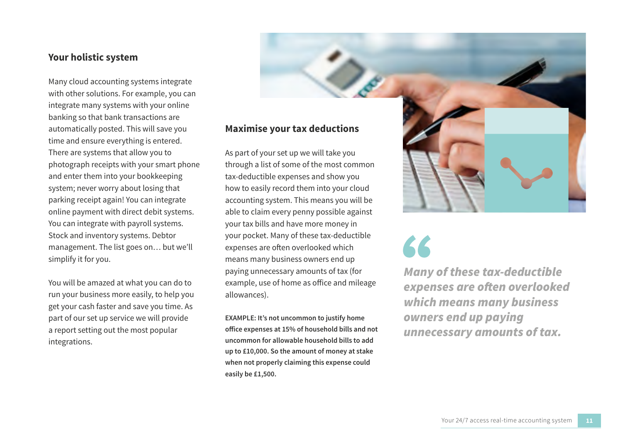### **Your holistic system**

Many cloud accounting systems integrate with other solutions. For example, you can integrate many systems with your online banking so that bank transactions are automatically posted. This will save you time and ensure everything is entered. There are systems that allow you to photograph receipts with your smart phone and enter them into your bookkeeping system; never worry about losing that parking receipt again! You can integrate online payment with direct debit systems. You can integrate with payroll systems. Stock and inventory systems. Debtor management. The list goes on… but we'll simplify it for you.

You will be amazed at what you can do to run your business more easily, to help you get your cash faster and save you time. As part of our set up service we will provide a report setting out the most popular integrations.

### **Maximise your tax deductions**

As part of your set up we will take you through a list of some of the most common tax-deductible expenses and show you how to easily record them into your cloud accounting system. This means you will be able to claim every penny possible against your tax bills and have more money in your pocket. Many of these tax-deductible expenses are often overlooked which means many business owners end up paying unnecessary amounts of tax (for example, use of home as office and mileage allowances).

**EXAMPLE: It's not uncommon to justify home office expenses at 15% of household bills and not uncommon for allowable household bills to add up to £10,000. So the amount of money at stake when not properly claiming this expense could easily be £1,500.**

*Many of these tax-deductible expenses are often overlooked which means many business owners end up paying unnecessary amounts of tax.*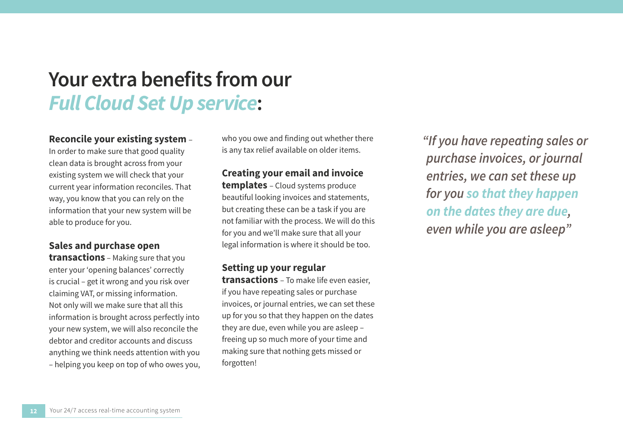## **Your extra benefits from our**  *Full Cloud Set Up service***:**

### **Reconcile your existing system** –

In order to make sure that good quality clean data is brought across from your existing system we will check that your current year information reconciles. That way, you know that you can rely on the information that your new system will be able to produce for you.

### **Sales and purchase open**

**transactions** – Making sure that you enter your 'opening balances' correctly is crucial – get it wrong and you risk over claiming VAT, or missing information. Not only will we make sure that all this information is brought across perfectly into your new system, we will also reconcile the debtor and creditor accounts and discuss anything we think needs attention with you – helping you keep on top of who owes you, who you owe and finding out whether there is any tax relief available on older items.

### **Creating your email and invoice**

**templates** – Cloud systems produce beautiful looking invoices and statements, but creating these can be a task if you are not familiar with the process. We will do this for you and we'll make sure that all your legal information is where it should be too.

### **Setting up your regular**

**transactions** – To make life even easier, if you have repeating sales or purchase invoices, or journal entries, we can set these up for you so that they happen on the dates they are due, even while you are asleep – freeing up so much more of your time and making sure that nothing gets missed or forgotten!

*"If you have repeating sales or purchase invoices, or journal entries, we can set these up for you so that they happen on the dates they are due, even while you are asleep"*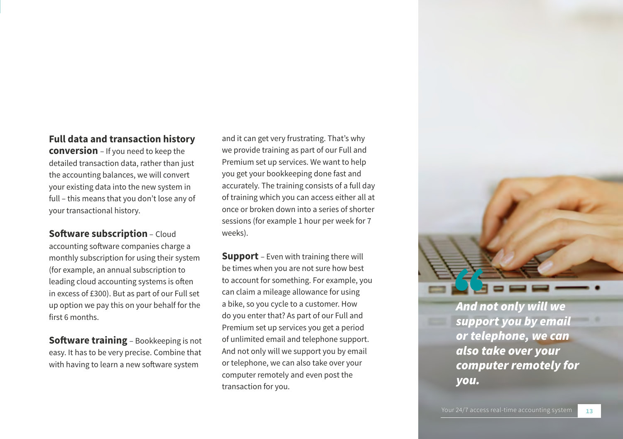### **Full data and transaction history**

**conversion** – If you need to keep the detailed transaction data, rather than just the accounting balances, we will convert your existing data into the new system in full – this means that you don't lose any of your transactional history.

**Software subscription** – Cloud accounting software companies charge a monthly subscription for using their system (for example, an annual subscription to leading cloud accounting systems is often

in excess of £300). But as part of our Full set up option we pay this on your behalf for the first 6 months.

**Software training** – Bookkeeping is not easy. It has to be very precise. Combine that with having to learn a new software system

and it can get very frustrating. That's why we provide training as part of our Full and Premium set up services. We want to help you get your bookkeeping done fast and accurately. The training consists of a full day of training which you can access either all at once or broken down into a series of shorter sessions (for example 1 hour per week for 7 weeks).

**Support** – Even with training there will be times when you are not sure how best to account for something. For example, you can claim a mileage allowance for using a bike, so you cycle to a customer. How do you enter that? As part of our Full and Premium set up services you get a period of unlimited email and telephone support. And not only will we support you by email or telephone, we can also take over your computer remotely and even post the transaction for you.

*And not only will we support you by email or telephone, we can also take over your computer remotely for you.*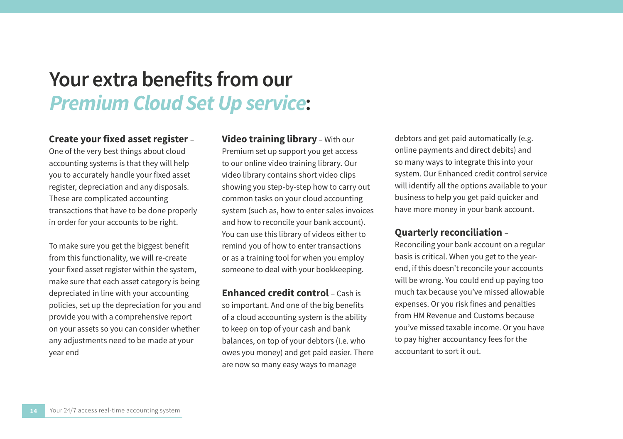## **Your extra benefits from our**  *Premium Cloud Set Up service***:**

### **Create your fixed asset register** –

One of the very best things about cloud accounting systems is that they will help you to accurately handle your fixed asset register, depreciation and any disposals. These are complicated accounting transactions that have to be done properly in order for your accounts to be right.

To make sure you get the biggest benefit from this functionality, we will re-create your fixed asset register within the system, make sure that each asset category is being depreciated in line with your accounting policies, set up the depreciation for you and provide you with a comprehensive report on your assets so you can consider whether any adjustments need to be made at your year end

**Video training library** – With our Premium set up support you get access to our online video training library. Our video library contains short video clips showing you step-by-step how to carry out common tasks on your cloud accounting system (such as, how to enter sales invoices and how to reconcile your bank account). You can use this library of videos either to remind you of how to enter transactions or as a training tool for when you employ someone to deal with your bookkeeping.

**Enhanced credit control - Cash is** so important. And one of the big benefits of a cloud accounting system is the ability to keep on top of your cash and bank balances, on top of your debtors (i.e. who owes you money) and get paid easier. There are now so many easy ways to manage

debtors and get paid automatically (e.g. online payments and direct debits) and so many ways to integrate this into your system. Our Enhanced credit control service will identify all the options available to your business to help you get paid quicker and have more money in your bank account.

### **Quarterly reconciliation** –

Reconciling your bank account on a regular basis is critical. When you get to the yearend, if this doesn't reconcile your accounts will be wrong. You could end up paying too much tax because you've missed allowable expenses. Or you risk fines and penalties from HM Revenue and Customs because you've missed taxable income. Or you have to pay higher accountancy fees for the accountant to sort it out.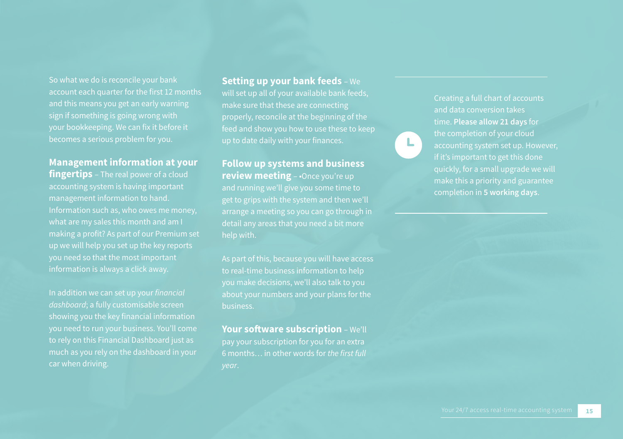So what we do is reconcile your bank account each quarter for the first 12 months and this means you get an early warning sign if something is going wrong with becomes a serious problem for you.

### **Management information at your**

**fingertips** – The real power of a cloud accounting system is having important Information such as, who owes me money, what are my sales this month and am I making a profit? As part of our Premium set up we will help you set up the key reports you need so that the most important information is always a click away.

*dashboard*; a fully customisable screen showing you the key financial information you need to run your business. You'll come to rely on this Financial Dashboard just as much as you rely on the dashboard in your **Setting up your bank feeds** – We

will set up all of your available bank feeds, make sure that these are connecting properly, reconcile at the beginning of the feed and show you how to use these to keep up to date daily with your finances.

### **Follow up systems and business review meeting** – •Once you're up

and running we'll give you some time to

As part of this, because you will have access you make decisions, we'll also talk to you about your numbers and your plans for the

### **Your software subscription** – We'll

pay your subscription for you for an extra 6 months… in other words for *the first full*  and data conversion takes time. **Please allow 21 days** for if it's important to get this done make this a priority and guarantee completion in **5 working days**.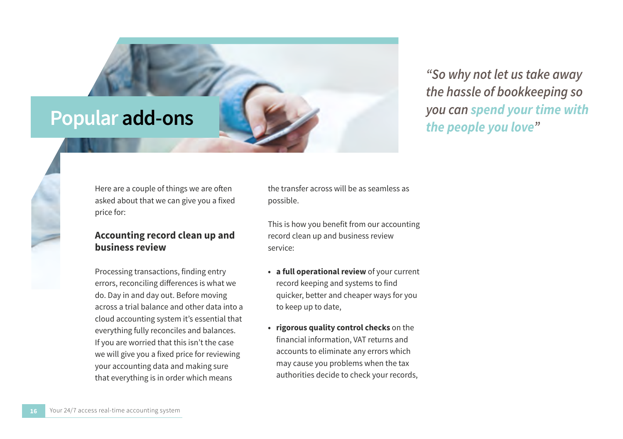

*"So why not let us take away the hassle of bookkeeping so you can spend your time with the people you love"*

Here are a couple of things we are often asked about that we can give you a fixed price for:

### **Accounting record clean up and business review**

Processing transactions, finding entry errors, reconciling differences is what we do. Day in and day out. Before moving across a trial balance and other data into a cloud accounting system it's essential that everything fully reconciles and balances. If you are worried that this isn't the case we will give you a fixed price for reviewing your accounting data and making sure that everything is in order which means

the transfer across will be as seamless as possible.

This is how you benefit from our accounting record clean up and business review service:

- **• a full operational review** of your current record keeping and systems to find quicker, better and cheaper ways for you to keep up to date,
- **• rigorous quality control checks** on the financial information, VAT returns and accounts to eliminate any errors which may cause you problems when the tax authorities decide to check your records,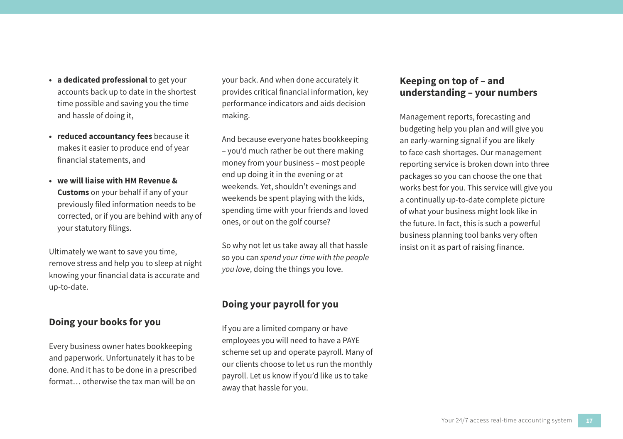- **• a dedicated professional** to get your accounts back up to date in the shortest time possible and saving you the time and hassle of doing it,
- **• reduced accountancy fees** because it makes it easier to produce end of year financial statements, and
- **• we will liaise with HM Revenue & Customs** on your behalf if any of your previously filed information needs to be corrected, or if you are behind with any of your statutory filings.

Ultimately we want to save you time, remove stress and help you to sleep at night knowing your financial data is accurate and up-to-date.

### **Doing your books for you**

Every business owner hates bookkeeping and paperwork. Unfortunately it has to be done. And it has to be done in a prescribed format… otherwise the tax man will be on

your back. And when done accurately it provides critical financial information, key performance indicators and aids decision making.

And because everyone hates bookkeeping – you'd much rather be out there making money from your business – most people end up doing it in the evening or at weekends. Yet, shouldn't evenings and weekends be spent playing with the kids, spending time with your friends and loved ones, or out on the golf course?

So why not let us take away all that hassle so you can *spend your time with the people you love*, doing the things you love.

### **Doing your payroll for you**

If you are a limited company or have employees you will need to have a PAYE scheme set up and operate payroll. Many of our clients choose to let us run the monthly payroll. Let us know if you'd like us to take away that hassle for you.

### **Keeping on top of – and understanding – your numbers**

Management reports, forecasting and budgeting help you plan and will give you an early-warning signal if you are likely to face cash shortages. Our management reporting service is broken down into three packages so you can choose the one that works best for you. This service will give you a continually up-to-date complete picture of what your business might look like in the future. In fact, this is such a powerful business planning tool banks very often insist on it as part of raising finance.